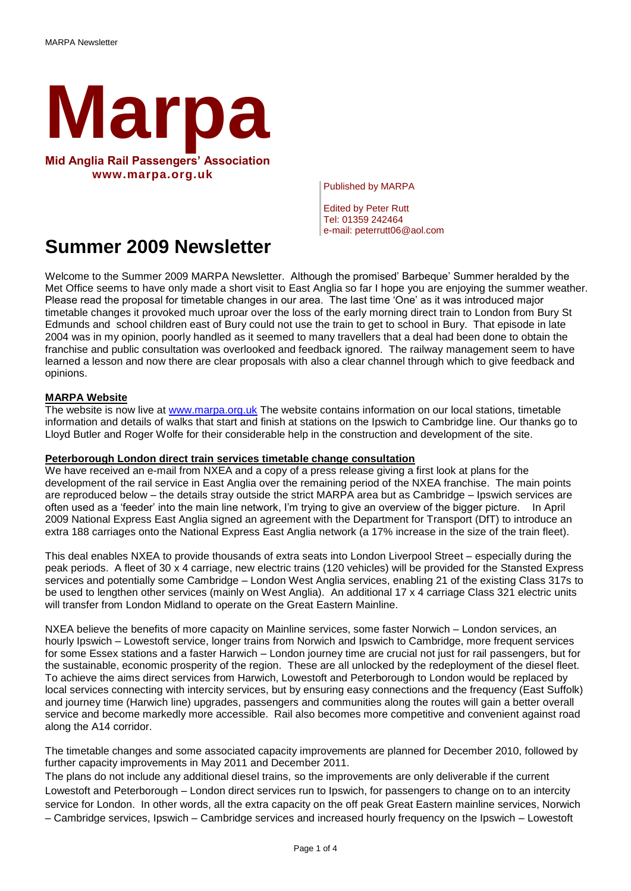

Published by MARPA

Edited by Peter Rutt Tel: 01359 242464 e-mail: peterrutt06@aol.com

# **Summer 2009 Newsletter**

Welcome to the Summer 2009 MARPA Newsletter. Although the promised' Barbeque' Summer heralded by the Met Office seems to have only made a short visit to East Anglia so far I hope you are enjoying the summer weather. Please read the proposal for timetable changes in our area. The last time 'One' as it was introduced major timetable changes it provoked much uproar over the loss of the early morning direct train to London from Bury St Edmunds and school children east of Bury could not use the train to get to school in Bury. That episode in late 2004 was in my opinion, poorly handled as it seemed to many travellers that a deal had been done to obtain the franchise and public consultation was overlooked and feedback ignored. The railway management seem to have learned a lesson and now there are clear proposals with also a clear channel through which to give feedback and opinions.

## **MARPA Website**

The website is now live at [www.marpa.org.uk](http://www.marpa.org.uk/) The website contains information on our local stations, timetable information and details of walks that start and finish at stations on the Ipswich to Cambridge line. Our thanks go to Lloyd Butler and Roger Wolfe for their considerable help in the construction and development of the site.

#### **Peterborough London direct train services timetable change consultation**

We have received an e-mail from NXEA and a copy of a press release giving a first look at plans for the development of the rail service in East Anglia over the remaining period of the NXEA franchise. The main points are reproduced below – the details stray outside the strict MARPA area but as Cambridge – Ipswich services are often used as a 'feeder' into the main line network, I'm trying to give an overview of the bigger picture. In April 2009 National Express East Anglia signed an agreement with the Department for Transport (DfT) to introduce an extra 188 carriages onto the National Express East Anglia network (a 17% increase in the size of the train fleet).

This deal enables NXEA to provide thousands of extra seats into London Liverpool Street – especially during the peak periods. A fleet of 30 x 4 carriage, new electric trains (120 vehicles) will be provided for the Stansted Express services and potentially some Cambridge – London West Anglia services, enabling 21 of the existing Class 317s to be used to lengthen other services (mainly on West Anglia). An additional 17 x 4 carriage Class 321 electric units will transfer from London Midland to operate on the Great Eastern Mainline.

NXEA believe the benefits of more capacity on Mainline services, some faster Norwich – London services, an hourly Ipswich – Lowestoft service, longer trains from Norwich and Ipswich to Cambridge, more frequent services for some Essex stations and a faster Harwich – London journey time are crucial not just for rail passengers, but for the sustainable, economic prosperity of the region. These are all unlocked by the redeployment of the diesel fleet. To achieve the aims direct services from Harwich, Lowestoft and Peterborough to London would be replaced by local services connecting with intercity services, but by ensuring easy connections and the frequency (East Suffolk) and journey time (Harwich line) upgrades, passengers and communities along the routes will gain a better overall service and become markedly more accessible. Rail also becomes more competitive and convenient against road along the A14 corridor.

The timetable changes and some associated capacity improvements are planned for December 2010, followed by further capacity improvements in May 2011 and December 2011.

The plans do not include any additional diesel trains, so the improvements are only deliverable if the current Lowestoft and Peterborough – London direct services run to Ipswich, for passengers to change on to an intercity service for London. In other words, all the extra capacity on the off peak Great Eastern mainline services, Norwich – Cambridge services, Ipswich – Cambridge services and increased hourly frequency on the Ipswich – Lowestoft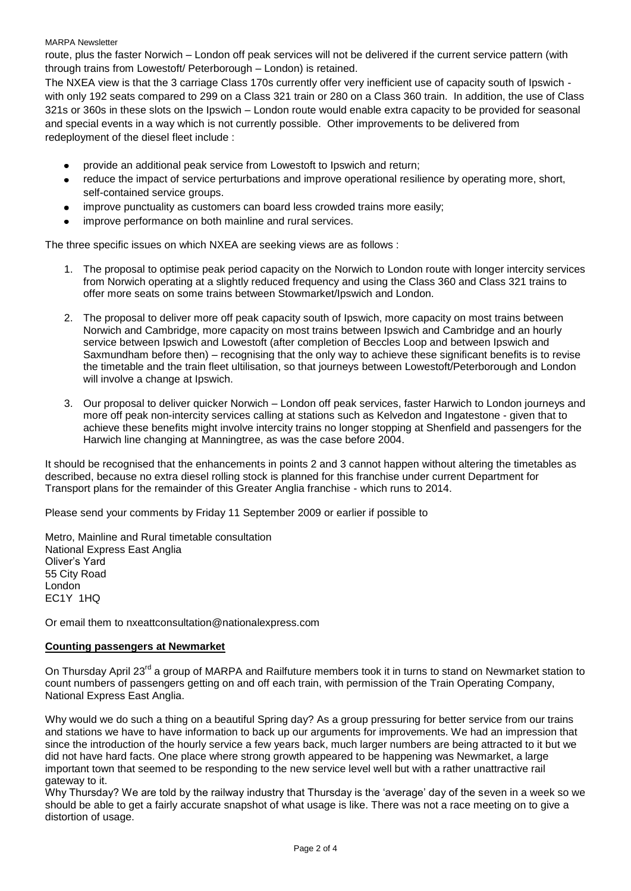MARPA Newsletter

route, plus the faster Norwich – London off peak services will not be delivered if the current service pattern (with through trains from Lowestoft/ Peterborough – London) is retained.

The NXEA view is that the 3 carriage Class 170s currently offer very inefficient use of capacity south of Ipswich with only 192 seats compared to 299 on a Class 321 train or 280 on a Class 360 train. In addition, the use of Class 321s or 360s in these slots on the Ipswich – London route would enable extra capacity to be provided for seasonal and special events in a way which is not currently possible. Other improvements to be delivered from redeployment of the diesel fleet include :

- provide an additional peak service from Lowestoft to Ipswich and return;
- reduce the impact of service perturbations and improve operational resilience by operating more, short, self-contained service groups.
- improve punctuality as customers can board less crowded trains more easily;
- improve performance on both mainline and rural services.

The three specific issues on which NXEA are seeking views are as follows :

- 1. The proposal to optimise peak period capacity on the Norwich to London route with longer intercity services from Norwich operating at a slightly reduced frequency and using the Class 360 and Class 321 trains to offer more seats on some trains between Stowmarket/Ipswich and London.
- 2. The proposal to deliver more off peak capacity south of Ipswich, more capacity on most trains between Norwich and Cambridge, more capacity on most trains between Ipswich and Cambridge and an hourly service between Ipswich and Lowestoft (after completion of Beccles Loop and between Ipswich and Saxmundham before then) – recognising that the only way to achieve these significant benefits is to revise the timetable and the train fleet ultilisation, so that journeys between Lowestoft/Peterborough and London will involve a change at Ipswich.
- 3. Our proposal to deliver quicker Norwich London off peak services, faster Harwich to London journeys and more off peak non-intercity services calling at stations such as Kelvedon and Ingatestone - given that to achieve these benefits might involve intercity trains no longer stopping at Shenfield and passengers for the Harwich line changing at Manningtree, as was the case before 2004.

It should be recognised that the enhancements in points 2 and 3 cannot happen without altering the timetables as described, because no extra diesel rolling stock is planned for this franchise under current Department for Transport plans for the remainder of this Greater Anglia franchise - which runs to 2014.

Please send your comments by Friday 11 September 2009 or earlier if possible to

Metro, Mainline and Rural timetable consultation National Express East Anglia Oliver's Yard 55 City Road London EC1Y 1HQ

Or email them to [nxeattconsultation@nationalexpress.com](mailto:nxeattconsultation@nationalexpress.com)

## **Counting passengers at Newmarket**

On Thursday April 23<sup>rd</sup> a group of MARPA and Railfuture members took it in turns to stand on Newmarket station to count numbers of passengers getting on and off each train, with permission of the Train Operating Company, National Express East Anglia.

Why would we do such a thing on a beautiful Spring day? As a group pressuring for better service from our trains and stations we have to have information to back up our arguments for improvements. We had an impression that since the introduction of the hourly service a few years back, much larger numbers are being attracted to it but we did not have hard facts. One place where strong growth appeared to be happening was Newmarket, a large important town that seemed to be responding to the new service level well but with a rather unattractive rail gateway to it.

Why Thursday? We are told by the railway industry that Thursday is the 'average' day of the seven in a week so we should be able to get a fairly accurate snapshot of what usage is like. There was not a race meeting on to give a distortion of usage.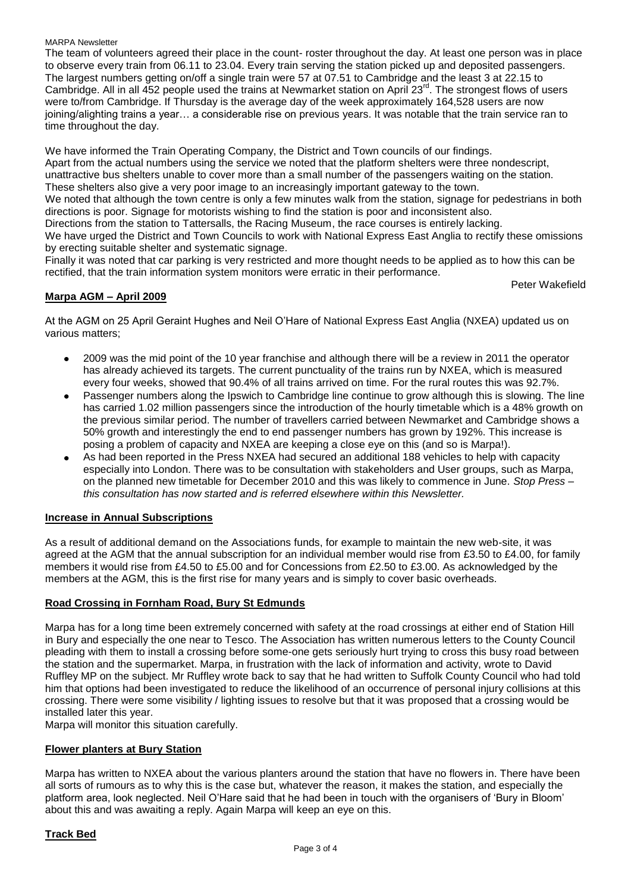#### MARPA Newsletter

The team of volunteers agreed their place in the count- roster throughout the day. At least one person was in place to observe every train from 06.11 to 23.04. Every train serving the station picked up and deposited passengers. The largest numbers getting on/off a single train were 57 at 07.51 to Cambridge and the least 3 at 22.15 to Cambridge. All in all 452 people used the trains at Newmarket station on April 23<sup>rd</sup>. The strongest flows of users were to/from Cambridge. If Thursday is the average day of the week approximately 164,528 users are now joining/alighting trains a year… a considerable rise on previous years. It was notable that the train service ran to time throughout the day.

We have informed the Train Operating Company, the District and Town councils of our findings. Apart from the actual numbers using the service we noted that the platform shelters were three nondescript, unattractive bus shelters unable to cover more than a small number of the passengers waiting on the station. These shelters also give a very poor image to an increasingly important gateway to the town. We noted that although the town centre is only a few minutes walk from the station, signage for pedestrians in both directions is poor. Signage for motorists wishing to find the station is poor and inconsistent also. Directions from the station to Tattersalls, the Racing Museum, the race courses is entirely lacking. We have urged the District and Town Councils to work with National Express East Anglia to rectify these omissions by erecting suitable shelter and systematic signage.

Finally it was noted that car parking is very restricted and more thought needs to be applied as to how this can be rectified, that the train information system monitors were erratic in their performance.

Peter Wakefield

## **Marpa AGM – April 2009**

At the AGM on 25 April Geraint Hughes and Neil O'Hare of National Express East Anglia (NXEA) updated us on various matters;

- 2009 was the mid point of the 10 year franchise and although there will be a review in 2011 the operator has already achieved its targets. The current punctuality of the trains run by NXEA, which is measured every four weeks, showed that 90.4% of all trains arrived on time. For the rural routes this was 92.7%.
- Passenger numbers along the Ipswich to Cambridge line continue to grow although this is slowing. The line has carried 1.02 million passengers since the introduction of the hourly timetable which is a 48% growth on the previous similar period. The number of travellers carried between Newmarket and Cambridge shows a 50% growth and interestingly the end to end passenger numbers has grown by 192%. This increase is posing a problem of capacity and NXEA are keeping a close eye on this (and so is Marpa!).
- As had been reported in the Press NXEA had secured an additional 188 vehicles to help with capacity especially into London. There was to be consultation with stakeholders and User groups, such as Marpa, on the planned new timetable for December 2010 and this was likely to commence in June. *Stop Press – this consultation has now started and is referred elsewhere within this Newsletter.*

#### **Increase in Annual Subscriptions**

As a result of additional demand on the Associations funds, for example to maintain the new web-site, it was agreed at the AGM that the annual subscription for an individual member would rise from £3.50 to £4.00, for family members it would rise from £4.50 to £5.00 and for Concessions from £2.50 to £3.00. As acknowledged by the members at the AGM, this is the first rise for many years and is simply to cover basic overheads.

#### **Road Crossing in Fornham Road, Bury St Edmunds**

Marpa has for a long time been extremely concerned with safety at the road crossings at either end of Station Hill in Bury and especially the one near to Tesco. The Association has written numerous letters to the County Council pleading with them to install a crossing before some-one gets seriously hurt trying to cross this busy road between the station and the supermarket. Marpa, in frustration with the lack of information and activity, wrote to David Ruffley MP on the subject. Mr Ruffley wrote back to say that he had written to Suffolk County Council who had told him that options had been investigated to reduce the likelihood of an occurrence of personal injury collisions at this crossing. There were some visibility / lighting issues to resolve but that it was proposed that a crossing would be installed later this year.

Marpa will monitor this situation carefully.

#### **Flower planters at Bury Station**

Marpa has written to NXEA about the various planters around the station that have no flowers in. There have been all sorts of rumours as to why this is the case but, whatever the reason, it makes the station, and especially the platform area, look neglected. Neil O'Hare said that he had been in touch with the organisers of 'Bury in Bloom' about this and was awaiting a reply. Again Marpa will keep an eye on this.

#### **Track Bed**